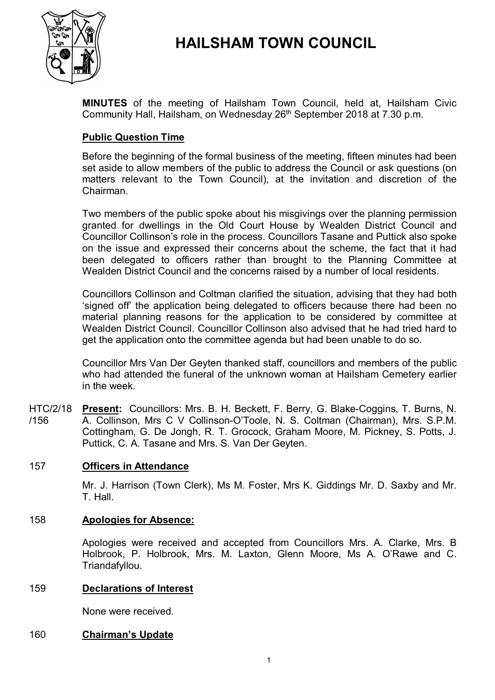

# **HAILSHAM TOWN COUNCIL**

**MINUTES** of the meeting of Hailsham Town Council, held at, Hailsham Civic Community Hall, Hailsham, on Wednesday 26<sup>th</sup> September 2018 at 7.30 p.m.

# **Public Question Time**

Before the beginning of the formal business of the meeting, fifteen minutes had been set aside to allow members of the public to address the Council or ask questions (on matters relevant to the Town Council), at the invitation and discretion of the Chairman.

Two members of the public spoke about his misgivings over the planning permission granted for dwellings in the Old Court House by Wealden District Council and Councillor Collinson's role in the process. Councillors Tasane and Puttick also spoke on the issue and expressed their concerns about the scheme, the fact that it had been delegated to officers rather than brought to the Planning Committee at Wealden District Council and the concerns raised by a number of local residents.

Councillors Collinson and Coltman clarified the situation, advising that they had both 'signed off' the application being delegated to officers because there had been no material planning reasons for the application to be considered by committee at Wealden District Council. Councillor Collinson also advised that he had tried hard to get the application onto the committee agenda but had been unable to do so.

Councillor Mrs Van Der Geyten thanked staff, councillors and members of the public who had attended the funeral of the unknown woman at Hailsham Cemetery earlier in the week.

HTC/2/18 /156 **Present:** Councillors: Mrs. B. H. Beckett, F. Berry, G. Blake-Coggins, T. Burns, N. A. Collinson, Mrs C V Collinson-O'Toole, N. S. Coltman (Chairman), Mrs. S.P.M. Cottingham, G. De Jongh, R. T. Grocock, Graham Moore, M. Pickney, S. Potts, J. Puttick, C. A. Tasane and Mrs. S. Van Der Geyten.

# 157 **Officers in Attendance**

Mr. J. Harrison (Town Clerk), Ms M. Foster, Mrs K. Giddings Mr. D. Saxby and Mr. T. Hall.

#### 158 **Apologies for Absence:**

Apologies were received and accepted from Councillors Mrs. A. Clarke, Mrs. B Holbrook, P. Holbrook, Mrs. M. Laxton, Glenn Moore, Ms A. O'Rawe and C. Triandafyllou.

#### 159 **Declarations of Interest**

None were received.

## 160 **Chairman's Update**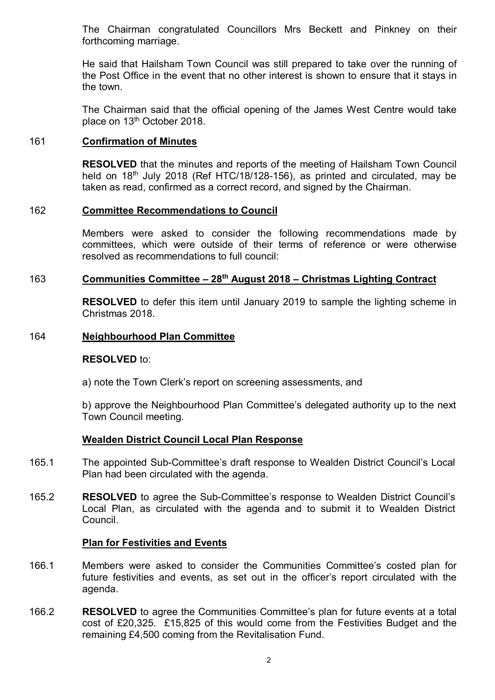The Chairman congratulated Councillors Mrs Beckett and Pinkney on their forthcoming marriage.

He said that Hailsham Town Council was still prepared to take over the running of the Post Office in the event that no other interest is shown to ensure that it stays in the town.

The Chairman said that the official opening of the James West Centre would take place on 13<sup>th</sup> October 2018.

## 161 **Confirmation of Minutes**

**RESOLVED** that the minutes and reports of the meeting of Hailsham Town Council held on 18<sup>th</sup> July 2018 (Ref HTC/18/128-156), as printed and circulated, may be taken as read, confirmed as a correct record, and signed by the Chairman.

## 162 **Committee Recommendations to Council**

Members were asked to consider the following recommendations made by committees, which were outside of their terms of reference or were otherwise resolved as recommendations to full council:

# 163 **Communities Committee – 28th August 2018 – Christmas Lighting Contract**

**RESOLVED** to defer this item until January 2019 to sample the lighting scheme in Christmas 2018.

#### 164 **Neighbourhood Plan Committee**

#### **RESOLVED** to:

a) note the Town Clerk's report on screening assessments, and

b) approve the Neighbourhood Plan Committee's delegated authority up to the next Town Council meeting.

#### **Wealden District Council Local Plan Response**

- 165.1 The appointed Sub-Committee's draft response to Wealden District Council's Local Plan had been circulated with the agenda.
- 165.2 **RESOLVED** to agree the Sub-Committee's response to Wealden District Council's Local Plan, as circulated with the agenda and to submit it to Wealden District Council.

#### **Plan for Festivities and Events**

- 166.1 Members were asked to consider the Communities Committee's costed plan for future festivities and events, as set out in the officer's report circulated with the agenda.
- 166.2 **RESOLVED** to agree the Communities Committee's plan for future events at a total cost of £20,325. £15,825 of this would come from the Festivities Budget and the remaining £4,500 coming from the Revitalisation Fund.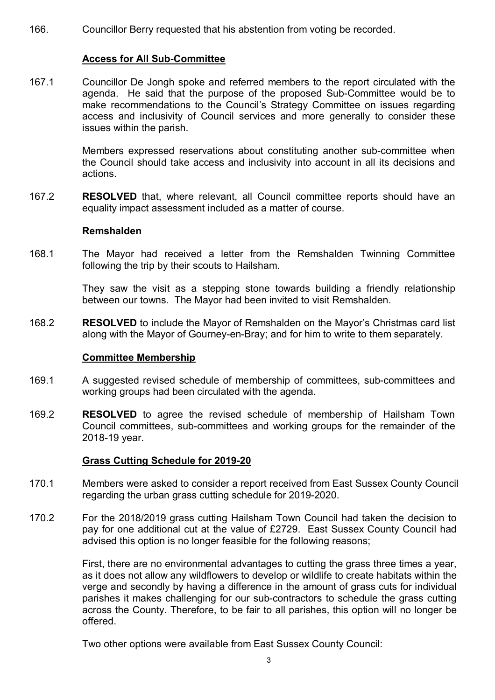166. Councillor Berry requested that his abstention from voting be recorded.

# **Access for All Sub-Committee**

167.1 Councillor De Jongh spoke and referred members to the report circulated with the agenda. He said that the purpose of the proposed Sub-Committee would be to make recommendations to the Council's Strategy Committee on issues regarding access and inclusivity of Council services and more generally to consider these issues within the parish.

> Members expressed reservations about constituting another sub-committee when the Council should take access and inclusivity into account in all its decisions and actions.

167.2 **RESOLVED** that, where relevant, all Council committee reports should have an equality impact assessment included as a matter of course.

## **Remshalden**

168.1 The Mayor had received a letter from the Remshalden Twinning Committee following the trip by their scouts to Hailsham.

> They saw the visit as a stepping stone towards building a friendly relationship between our towns. The Mayor had been invited to visit Remshalden.

168.2 **RESOLVED** to include the Mayor of Remshalden on the Mayor's Christmas card list along with the Mayor of Gourney-en-Bray; and for him to write to them separately.

# **Committee Membership**

- 169.1 A suggested revised schedule of membership of committees, sub-committees and working groups had been circulated with the agenda.
- 169.2 **RESOLVED** to agree the revised schedule of membership of Hailsham Town Council committees, sub-committees and working groups for the remainder of the 2018-19 year.

# **Grass Cutting Schedule for 2019-20**

- 170.1 Members were asked to consider a report received from East Sussex County Council regarding the urban grass cutting schedule for 2019-2020.
- 170.2 For the 2018/2019 grass cutting Hailsham Town Council had taken the decision to pay for one additional cut at the value of £2729. East Sussex County Council had advised this option is no longer feasible for the following reasons;

First, there are no environmental advantages to cutting the grass three times a year, as it does not allow any wildflowers to develop or wildlife to create habitats within the verge and secondly by having a difference in the amount of grass cuts for individual parishes it makes challenging for our sub-contractors to schedule the grass cutting across the County. Therefore, to be fair to all parishes, this option will no longer be offered.

Two other options were available from East Sussex County Council: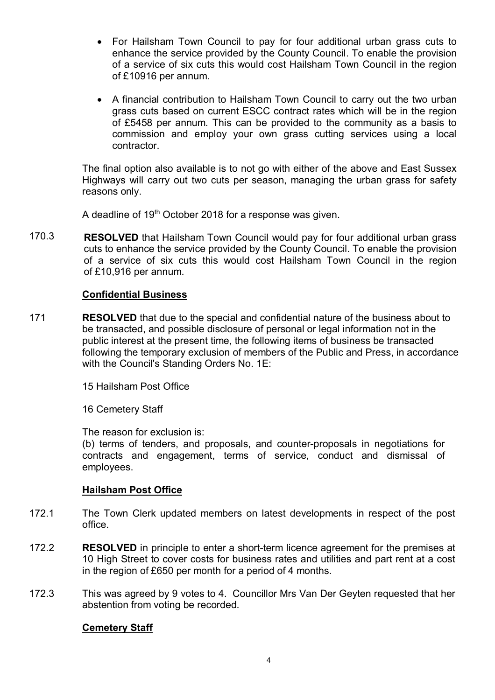- For Hailsham Town Council to pay for four additional urban grass cuts to enhance the service provided by the County Council. To enable the provision of a service of six cuts this would cost Hailsham Town Council in the region of £10916 per annum.
- A financial contribution to Hailsham Town Council to carry out the two urban grass cuts based on current ESCC contract rates which will be in the region of £5458 per annum. This can be provided to the community as a basis to commission and employ your own grass cutting services using a local contractor.

The final option also available is to not go with either of the above and East Sussex Highways will carry out two cuts per season, managing the urban grass for safety reasons only.

A deadline of 19<sup>th</sup> October 2018 for a response was given.

170.3 **RESOLVED** that Hailsham Town Council would pay for four additional urban grass cuts to enhance the service provided by the County Council. To enable the provision of a service of six cuts this would cost Hailsham Town Council in the region of £10,916 per annum.

## **Confidential Business**

171 **RESOLVED** that due to the special and confidential nature of the business about to be transacted, and possible disclosure of personal or legal information not in the public interest at the present time, the following items of business be transacted following the temporary exclusion of members of the Public and Press, in accordance with the Council's Standing Orders No. 1E:

15 Hailsham Post Office

16 Cemetery Staff

The reason for exclusion is:

(b) terms of tenders, and proposals, and counter-proposals in negotiations for contracts and engagement, terms of service, conduct and dismissal of employees.

# **Hailsham Post Office**

- 172.1 The Town Clerk updated members on latest developments in respect of the post office.
- 172.2 **RESOLVED** in principle to enter a short-term licence agreement for the premises at 10 High Street to cover costs for business rates and utilities and part rent at a cost in the region of £650 per month for a period of 4 months.
- 172.3 This was agreed by 9 votes to 4. Councillor Mrs Van Der Geyten requested that her abstention from voting be recorded.

# **Cemetery Staff**